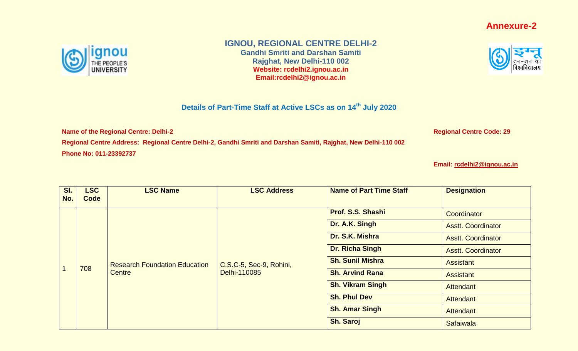## **Annexure-2**



## **IGNOU, REGIONAL CENTRE DELHI-2**

**Gandhi Smriti and Darshan Samiti Rajghat, New Delhi-110 002 Website: rcdelhi2.ignou.ac.in Email:rcdelhi2@ignou.ac.in**

## **Details of Part-Time Staff at Active LSCs as on 14th July 2020**

**Name of the Regional Centre: Delhi-2 Regional Centre Code: 29** 

**Regional Centre Address: Regional Centre Delhi-2, Gandhi Smriti and Darshan Samiti, Rajghat, New Delhi-110 002 Phone No: 011-23392737**

**Email: [rcdelhi2@ignou.ac.in](mailto:rcdelhi2@ignou.ac.in)**

| SI.<br>No. | <b>LSC</b><br>Code     | <b>LSC Name</b>                                       | <b>LSC Address</b>                      | <b>Name of Part Time Staff</b> | <b>Designation</b>        |
|------------|------------------------|-------------------------------------------------------|-----------------------------------------|--------------------------------|---------------------------|
|            |                        |                                                       |                                         | Prof. S.S. Shashi              | Coordinator               |
|            |                        |                                                       |                                         | Dr. A.K. Singh                 | <b>Asstt. Coordinator</b> |
|            |                        | Dr. S.K. Mishra                                       |                                         | <b>Asstt. Coordinator</b>      |                           |
|            | <b>Dr. Richa Singh</b> | <b>Asstt. Coordinator</b>                             |                                         |                                |                           |
|            | 708                    | <b>Research Foundation Education</b><br><b>Centre</b> | C.S.C-5, Sec-9, Rohini,<br>Delhi-110085 | <b>Sh. Sunil Mishra</b>        | Assistant                 |
|            |                        |                                                       |                                         | <b>Sh. Arvind Rana</b>         | <b>Assistant</b>          |
|            |                        |                                                       |                                         | <b>Sh. Vikram Singh</b>        | <b>Attendant</b>          |
|            |                        |                                                       |                                         | <b>Sh. Phul Dev</b>            | <b>Attendant</b>          |
|            |                        |                                                       |                                         | <b>Sh. Amar Singh</b>          | Attendant                 |
|            |                        |                                                       |                                         | Sh. Saroj                      | <b>Safaiwala</b>          |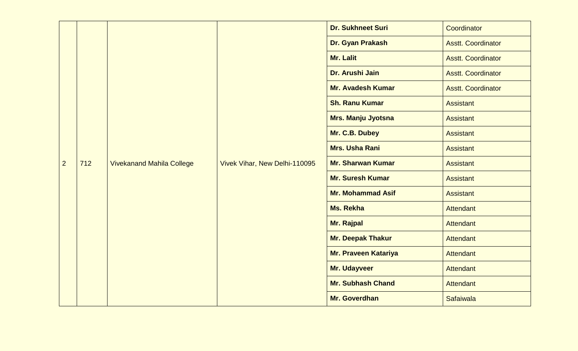|                |     |                                  |                               | <b>Dr. Sukhneet Suri</b>    | Coordinator               |
|----------------|-----|----------------------------------|-------------------------------|-----------------------------|---------------------------|
|                |     |                                  |                               | Dr. Gyan Prakash            | <b>Asstt. Coordinator</b> |
|                |     |                                  |                               | <b>Mr. Lalit</b>            | <b>Asstt. Coordinator</b> |
|                |     |                                  |                               | Dr. Arushi Jain             | <b>Asstt. Coordinator</b> |
|                |     |                                  |                               | <b>Mr. Avadesh Kumar</b>    | <b>Asstt. Coordinator</b> |
|                |     |                                  |                               | <b>Sh. Ranu Kumar</b>       | <b>Assistant</b>          |
|                |     |                                  |                               | <b>Mrs. Manju Jyotsna</b>   | <b>Assistant</b>          |
|                |     |                                  |                               | Mr. C.B. Dubey              | <b>Assistant</b>          |
|                |     |                                  |                               | <b>Mrs. Usha Rani</b>       | <b>Assistant</b>          |
| $\overline{2}$ | 712 | <b>Vivekanand Mahila College</b> | Vivek Vihar, New Delhi-110095 | <b>Mr. Sharwan Kumar</b>    | <b>Assistant</b>          |
|                |     |                                  |                               | <b>Mr. Suresh Kumar</b>     | <b>Assistant</b>          |
|                |     |                                  |                               | <b>Mr. Mohammad Asif</b>    | <b>Assistant</b>          |
|                |     |                                  |                               | <b>Ms. Rekha</b>            | <b>Attendant</b>          |
|                |     |                                  |                               | <b>Mr. Rajpal</b>           | <b>Attendant</b>          |
|                |     |                                  |                               | Mr. Deepak Thakur           | <b>Attendant</b>          |
|                |     |                                  |                               | <b>Mr. Praveen Katariya</b> | Attendant                 |
|                |     |                                  |                               | Mr. Udayveer                | <b>Attendant</b>          |
|                |     |                                  |                               | <b>Mr. Subhash Chand</b>    | <b>Attendant</b>          |
|                |     |                                  |                               | Mr. Goverdhan               | <b>Safaiwala</b>          |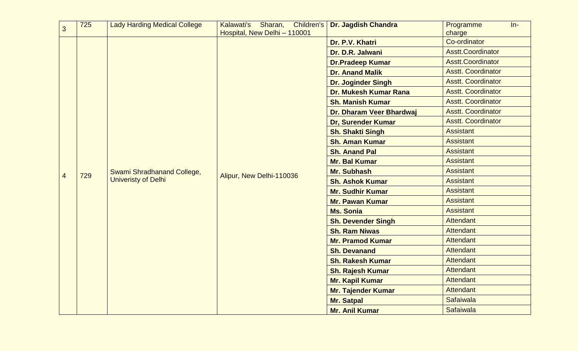| $\overline{3}$ | 725 | <b>Lady Harding Medical College</b>                             | Kalawati's Sharan,<br><b>Children's</b> | <b>Dr. Jagdish Chandra</b> | Programme<br>$In-$        |
|----------------|-----|-----------------------------------------------------------------|-----------------------------------------|----------------------------|---------------------------|
|                |     |                                                                 | Hospital, New Delhi - 110001            | Dr. P.V. Khatri            | charge<br>Co-ordinator    |
|                |     |                                                                 |                                         | Dr. D.R. Jalwani           | <b>Asstt.Coordinator</b>  |
|                |     |                                                                 |                                         | <b>Dr.Pradeep Kumar</b>    | <b>Asstt.Coordinator</b>  |
|                |     |                                                                 |                                         | <b>Dr. Anand Malik</b>     | <b>Asstt. Coordinator</b> |
|                |     |                                                                 |                                         |                            | <b>Asstt. Coordinator</b> |
|                |     |                                                                 |                                         | <b>Dr. Joginder Singh</b>  | <b>Asstt. Coordinator</b> |
|                |     |                                                                 |                                         | Dr. Mukesh Kumar Rana      |                           |
|                |     |                                                                 |                                         | <b>Sh. Manish Kumar</b>    | <b>Asstt. Coordinator</b> |
|                |     |                                                                 |                                         | Dr. Dharam Veer Bhardwaj   | <b>Asstt. Coordinator</b> |
|                |     |                                                                 |                                         | <b>Dr, Surender Kumar</b>  | <b>Asstt. Coordinator</b> |
|                |     |                                                                 |                                         | <b>Sh. Shakti Singh</b>    | <b>Assistant</b>          |
|                | 729 | <b>Swami Shradhanand College,</b><br><b>Univeristy of Delhi</b> | Alipur, New Delhi-110036                | <b>Sh. Aman Kumar</b>      | <b>Assistant</b>          |
|                |     |                                                                 |                                         | <b>Sh. Anand Pal</b>       | <b>Assistant</b>          |
|                |     |                                                                 |                                         | <b>Mr. Bal Kumar</b>       | <b>Assistant</b>          |
| $\overline{4}$ |     |                                                                 |                                         | <b>Mr. Subhash</b>         | <b>Assistant</b>          |
|                |     |                                                                 |                                         | <b>Sh. Ashok Kumar</b>     | <b>Assistant</b>          |
|                |     |                                                                 |                                         | <b>Mr. Sudhir Kumar</b>    | <b>Assistant</b>          |
|                |     |                                                                 |                                         | <b>Mr. Pawan Kumar</b>     | <b>Assistant</b>          |
|                |     |                                                                 |                                         | <b>Ms. Sonia</b>           | <b>Assistant</b>          |
|                |     |                                                                 |                                         | <b>Sh. Devender Singh</b>  | Attendant                 |
|                |     |                                                                 |                                         | <b>Sh. Ram Niwas</b>       | <b>Attendant</b>          |
|                |     |                                                                 |                                         | <b>Mr. Pramod Kumar</b>    | <b>Attendant</b>          |
|                |     |                                                                 |                                         | <b>Sh. Devanand</b>        | <b>Attendant</b>          |
|                |     |                                                                 |                                         | <b>Sh. Rakesh Kumar</b>    | <b>Attendant</b>          |
|                |     |                                                                 |                                         | <b>Sh. Rajesh Kumar</b>    | <b>Attendant</b>          |
|                |     |                                                                 |                                         | Mr. Kapil Kumar            | <b>Attendant</b>          |
|                |     |                                                                 |                                         | <b>Mr. Tajender Kumar</b>  | <b>Attendant</b>          |
|                |     |                                                                 |                                         | <b>Mr. Satpal</b>          | Safaiwala                 |
|                |     |                                                                 |                                         | <b>Mr. Anil Kumar</b>      | Safaiwala                 |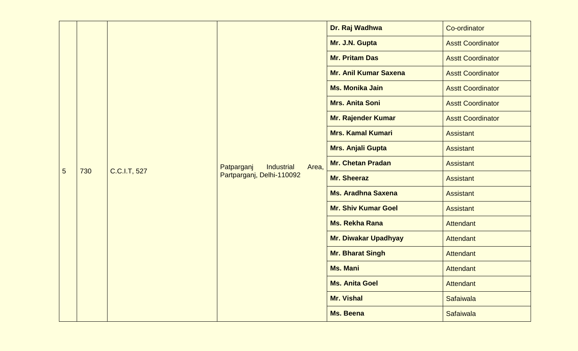|   |     |                                          |                                    | Dr. Raj Wadhwa               | Co-ordinator             |                          |
|---|-----|------------------------------------------|------------------------------------|------------------------------|--------------------------|--------------------------|
|   |     |                                          |                                    |                              | Mr. J.N. Gupta           | <b>Asstt Coordinator</b> |
|   |     |                                          |                                    | <b>Mr. Pritam Das</b>        | <b>Asstt Coordinator</b> |                          |
|   |     |                                          |                                    | <b>Mr. Anil Kumar Saxena</b> | <b>Asstt Coordinator</b> |                          |
|   | 730 |                                          |                                    | <b>Ms. Monika Jain</b>       | <b>Asstt Coordinator</b> |                          |
|   |     |                                          |                                    | <b>Mrs. Anita Soni</b>       | <b>Asstt Coordinator</b> |                          |
|   |     |                                          |                                    | <b>Mr. Rajender Kumar</b>    | <b>Asstt Coordinator</b> |                          |
|   |     | Patparganj<br>Industrial<br>C.C.I.T, 527 |                                    | <b>Mrs. Kamal Kumari</b>     | <b>Assistant</b>         |                          |
|   |     |                                          | Area,<br>Partparganj, Delhi-110092 | Mrs. Anjali Gupta            | <b>Assistant</b>         |                          |
|   |     |                                          |                                    | <b>Mr. Chetan Pradan</b>     | <b>Assistant</b>         |                          |
| 5 |     |                                          |                                    | <b>Mr. Sheeraz</b>           | <b>Assistant</b>         |                          |
|   |     |                                          |                                    | <b>Ms. Aradhna Saxena</b>    | <b>Assistant</b>         |                          |
|   |     |                                          |                                    | <b>Mr. Shiv Kumar Goel</b>   | <b>Assistant</b>         |                          |
|   |     |                                          |                                    | <b>Ms. Rekha Rana</b>        | <b>Attendant</b>         |                          |
|   |     |                                          |                                    | <b>Mr. Diwakar Upadhyay</b>  | Attendant                |                          |
|   |     |                                          |                                    | <b>Mr. Bharat Singh</b>      | Attendant                |                          |
|   |     |                                          |                                    | <b>Ms. Mani</b>              | <b>Attendant</b>         |                          |
|   |     |                                          |                                    | <b>Ms. Anita Goel</b>        | Attendant                |                          |
|   |     |                                          |                                    | <b>Mr. Vishal</b>            | Safaiwala                |                          |
|   |     |                                          |                                    | <b>Ms. Beena</b>             | Safaiwala                |                          |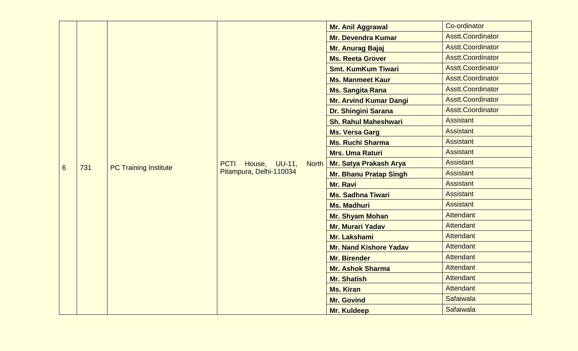|                 |     |                              |                                                                         | <b>Mr. Anil Aggrawal</b>      | Co-ordinator                         |                  |
|-----------------|-----|------------------------------|-------------------------------------------------------------------------|-------------------------------|--------------------------------------|------------------|
|                 |     |                              |                                                                         | <b>Mr. Devendra Kumar</b>     | <b>Asstt.Coordinator</b>             |                  |
|                 |     |                              |                                                                         | Mr. Anurag Bajaj              | <b>Asstt.Coordinator</b>             |                  |
|                 |     |                              |                                                                         | <b>Ms. Reeta Grover</b>       | <b>Asstt.Coordinator</b>             |                  |
|                 |     |                              |                                                                         | <b>Smt. KumKum Tiwari</b>     | <b>Asstt.Coordinator</b>             |                  |
|                 |     |                              |                                                                         | <b>Ms. Manmeet Kaur</b>       | <b>Asstt.Coordinator</b>             |                  |
|                 |     |                              |                                                                         | <b>Ms. Sangita Rana</b>       | <b>Asstt.Coordinator</b>             |                  |
|                 |     |                              |                                                                         | <b>Mr. Arvind Kumar Dangi</b> | <b>Asstt.Coordinator</b>             |                  |
|                 |     |                              |                                                                         | Dr. Shingini Sarana           | <b>Asstt.Coordinator</b>             |                  |
|                 | 731 |                              |                                                                         | <b>Sh. Rahul Maheshwari</b>   | <b>Assistant</b><br><b>Assistant</b> |                  |
|                 |     |                              |                                                                         | <b>Ms. Versa Garg</b>         |                                      |                  |
|                 |     | <b>PC Training Institute</b> |                                                                         | <b>Ms. Ruchi Sharma</b>       | <b>Assistant</b>                     |                  |
|                 |     |                              |                                                                         | <b>Mrs. Uma Raturi</b>        | <b>Assistant</b>                     |                  |
| $6\phantom{1}6$ |     |                              | House, UU-11,<br><b>PCTI</b><br><b>North</b><br>Pitampura, Delhi-110034 | Mr. Satya Prakash Arya        | <b>Assistant</b>                     |                  |
|                 |     |                              |                                                                         | <b>Mr. Bhanu Pratap Singh</b> | <b>Assistant</b>                     |                  |
|                 |     |                              |                                                                         | Mr. Ravi                      | <b>Assistant</b>                     |                  |
|                 |     |                              |                                                                         | <b>Ms. Sadhna Tiwari</b>      | <b>Assistant</b>                     |                  |
|                 |     |                              |                                                                         | <b>Ms. Madhuri</b>            | <b>Assistant</b>                     |                  |
|                 |     |                              |                                                                         | Mr. Shyam Mohan               | <b>Attendant</b>                     |                  |
|                 |     |                              |                                                                         | Mr. Murari Yadav              | <b>Attendant</b>                     |                  |
|                 |     |                              |                                                                         | Mr. Lakshami                  | <b>Attendant</b>                     |                  |
|                 |     |                              |                                                                         | <b>Mr. Nand Kishore Yadav</b> | <b>Attendant</b>                     |                  |
|                 |     |                              |                                                                         |                               | <b>Mr. Birender</b>                  | <b>Attendant</b> |
|                 |     |                              |                                                                         | <b>Mr. Ashok Sharma</b>       | <b>Attendant</b>                     |                  |
|                 |     |                              |                                                                         | <b>Mr. Shatish</b>            | <b>Attendant</b>                     |                  |
|                 |     |                              |                                                                         | <b>Ms. Kiran</b>              | <b>Attendant</b>                     |                  |
|                 |     |                              |                                                                         | <b>Mr. Govind</b>             | Safaiwala                            |                  |
|                 |     |                              |                                                                         | Mr. Kuldeep                   | Safaiwala                            |                  |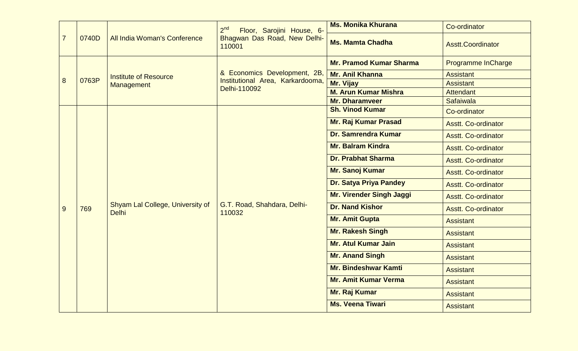|                |       |                                                  | 2 <sup>nd</sup><br>Floor, Sarojini House, 6- | <b>Ms. Monika Khurana</b>       | Co-ordinator               |
|----------------|-------|--------------------------------------------------|----------------------------------------------|---------------------------------|----------------------------|
| $\overline{7}$ | 0740D | All India Woman's Conference                     | Bhagwan Das Road, New Delhi-<br>110001       | <b>Ms. Mamta Chadha</b>         | <b>Asstt.Coordinator</b>   |
|                |       |                                                  |                                              | <b>Mr. Pramod Kumar Sharma</b>  | <b>Programme InCharge</b>  |
|                |       | <b>Institute of Resource</b>                     | & Economics Development, 2B,                 | <b>Mr. Anil Khanna</b>          | <b>Assistant</b>           |
| 8              | 0763P | Management                                       | Institutional Area, Karkardooma,             | Mr. Vijay                       | <b>Assistant</b>           |
|                |       |                                                  | Delhi-110092                                 | <b>M. Arun Kumar Mishra</b>     | <b>Attendant</b>           |
|                |       |                                                  |                                              | <b>Mr. Dharamveer</b>           | <b>Safaiwala</b>           |
|                |       |                                                  |                                              | <b>Sh. Vinod Kumar</b>          | Co-ordinator               |
|                |       |                                                  |                                              | <b>Mr. Raj Kumar Prasad</b>     | <b>Asstt. Co-ordinator</b> |
|                |       | Shyam Lal College, University of<br><b>Delhi</b> |                                              | <b>Dr. Samrendra Kumar</b>      | <b>Asstt. Co-ordinator</b> |
|                |       |                                                  |                                              | <b>Mr. Balram Kindra</b>        | <b>Asstt. Co-ordinator</b> |
|                |       |                                                  |                                              | <b>Dr. Prabhat Sharma</b>       | <b>Asstt. Co-ordinator</b> |
|                |       |                                                  |                                              | Mr. Sanoj Kumar                 | <b>Asstt. Co-ordinator</b> |
|                |       |                                                  |                                              | Dr. Satya Priya Pandey          | <b>Asstt. Co-ordinator</b> |
|                |       |                                                  |                                              | <b>Mr. Virender Singh Jaggi</b> | <b>Asstt. Co-ordinator</b> |
| 9              | 769   |                                                  | G.T. Road, Shahdara, Delhi-<br>110032        | <b>Dr. Nand Kishor</b>          | <b>Asstt. Co-ordinator</b> |
|                |       |                                                  |                                              | <b>Mr. Amit Gupta</b>           | <b>Assistant</b>           |
|                |       |                                                  |                                              | <b>Mr. Rakesh Singh</b>         | <b>Assistant</b>           |
|                |       |                                                  |                                              | <b>Mr. Atul Kumar Jain</b>      | <b>Assistant</b>           |
|                |       |                                                  |                                              | <b>Mr. Anand Singh</b>          | <b>Assistant</b>           |
|                |       |                                                  |                                              | <b>Mr. Bindeshwar Kamti</b>     | <b>Assistant</b>           |
|                |       |                                                  |                                              | <b>Mr. Amit Kumar Verma</b>     | <b>Assistant</b>           |
|                |       |                                                  |                                              | Mr. Raj Kumar                   | <b>Assistant</b>           |
|                |       |                                                  |                                              | <b>Ms. Veena Tiwari</b>         | <b>Assistant</b>           |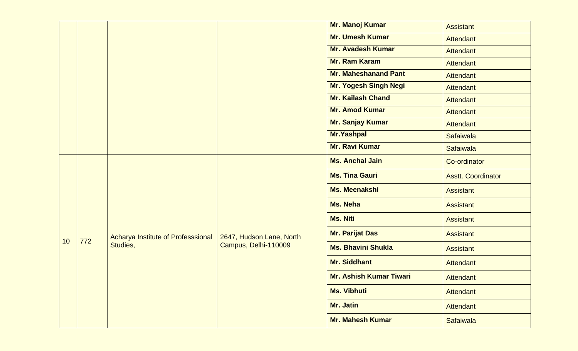|    |     |                                    |                          | Mr. Manoj Kumar                | <b>Assistant</b>          |
|----|-----|------------------------------------|--------------------------|--------------------------------|---------------------------|
|    |     |                                    |                          | <b>Mr. Umesh Kumar</b>         | <b>Attendant</b>          |
|    |     |                                    |                          | <b>Mr. Avadesh Kumar</b>       | <b>Attendant</b>          |
|    |     |                                    |                          | <b>Mr. Ram Karam</b>           | <b>Attendant</b>          |
|    |     |                                    |                          | <b>Mr. Maheshanand Pant</b>    | <b>Attendant</b>          |
|    |     |                                    |                          | <b>Mr. Yogesh Singh Negi</b>   | <b>Attendant</b>          |
|    |     |                                    |                          | <b>Mr. Kailash Chand</b>       | <b>Attendant</b>          |
|    |     |                                    |                          | <b>Mr. Amod Kumar</b>          | <b>Attendant</b>          |
|    |     |                                    |                          | Mr. Sanjay Kumar               | <b>Attendant</b>          |
|    |     |                                    |                          | <b>Mr.Yashpal</b>              | Safaiwala                 |
|    |     |                                    |                          | <b>Mr. Ravi Kumar</b>          | Safaiwala                 |
|    |     |                                    |                          | <b>Ms. Anchal Jain</b>         | Co-ordinator              |
|    |     |                                    |                          | <b>Ms. Tina Gauri</b>          | <b>Asstt. Coordinator</b> |
|    |     |                                    |                          | Ms. Meenakshi                  | <b>Assistant</b>          |
|    |     |                                    |                          | <b>Ms. Neha</b>                | <b>Assistant</b>          |
|    |     |                                    |                          | <b>Ms. Niti</b>                | <b>Assistant</b>          |
| 10 | 772 | Acharya Institute of Professsional | 2647, Hudson Lane, North | <b>Mr. Parijat Das</b>         | <b>Assistant</b>          |
|    |     | Studies,                           | Campus, Delhi-110009     | <b>Ms. Bhavini Shukla</b>      | <b>Assistant</b>          |
|    |     |                                    |                          | <b>Mr. Siddhant</b>            | Attendant                 |
|    |     |                                    |                          | <b>Mr. Ashish Kumar Tiwari</b> | <b>Attendant</b>          |
|    |     |                                    |                          | <b>Ms. Vibhuti</b>             | <b>Attendant</b>          |
|    |     |                                    |                          | Mr. Jatin                      | Attendant                 |
|    |     |                                    |                          | <b>Mr. Mahesh Kumar</b>        | <b>Safaiwala</b>          |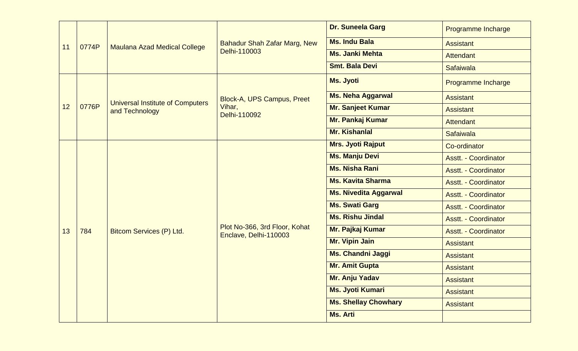| 11<br>0774P |       |                                         | Dr. Suneela Garg                                       | Programme Incharge           |                             |
|-------------|-------|-----------------------------------------|--------------------------------------------------------|------------------------------|-----------------------------|
|             |       | <b>Maulana Azad Medical College</b>     | <b>Bahadur Shah Zafar Marg, New</b><br>Delhi-110003    | <b>Ms. Indu Bala</b>         | <b>Assistant</b>            |
|             |       |                                         |                                                        | <b>Ms. Janki Mehta</b>       | <b>Attendant</b>            |
|             |       |                                         |                                                        | <b>Smt. Bala Devi</b>        | <b>Safaiwala</b>            |
|             |       |                                         |                                                        | <b>Ms. Jyoti</b>             | Programme Incharge          |
|             |       | <b>Universal Institute of Computers</b> | Block-A, UPS Campus, Preet                             | Ms. Neha Aggarwal            | <b>Assistant</b>            |
| 12          | 0776P | and Technology                          | Vihar,<br>Delhi-110092                                 | Mr. Sanjeet Kumar            | <b>Assistant</b>            |
|             |       |                                         |                                                        | Mr. Pankaj Kumar             | <b>Attendant</b>            |
|             |       |                                         |                                                        | <b>Mr. Kishanlal</b>         | <b>Safaiwala</b>            |
|             |       |                                         |                                                        | <b>Mrs. Jyoti Rajput</b>     | Co-ordinator                |
|             |       |                                         |                                                        | <b>Ms. Manju Devi</b>        | <b>Asstt. - Coordinator</b> |
|             |       |                                         |                                                        | <b>Ms. Nisha Rani</b>        | <b>Asstt. - Coordinator</b> |
|             |       |                                         |                                                        | <b>Ms. Kavita Sharma</b>     | <b>Asstt. - Coordinator</b> |
|             |       |                                         |                                                        | <b>Ms. Nivedita Aggarwal</b> | <b>Asstt. - Coordinator</b> |
|             |       |                                         |                                                        | <b>Ms. Swati Garg</b>        | <b>Asstt. - Coordinator</b> |
|             |       |                                         |                                                        | <b>Ms. Rishu Jindal</b>      | <b>Asstt. - Coordinator</b> |
| 13          | 784   | Bitcom Services (P) Ltd.                | Plot No-366, 3rd Floor, Kohat<br>Enclave, Delhi-110003 | Mr. Pajkaj Kumar             | <b>Asstt. - Coordinator</b> |
|             |       |                                         |                                                        | <b>Mr. Vipin Jain</b>        | <b>Assistant</b>            |
|             |       |                                         |                                                        | <b>Ms. Chandni Jaggi</b>     | <b>Assistant</b>            |
|             |       |                                         |                                                        | <b>Mr. Amit Gupta</b>        | <b>Assistant</b>            |
|             |       |                                         |                                                        | Mr. Anju Yadav               | <b>Assistant</b>            |
|             |       |                                         |                                                        | <b>Ms. Jyoti Kumari</b>      | <b>Assistant</b>            |
|             |       |                                         |                                                        | <b>Ms. Shellay Chowhary</b>  | <b>Assistant</b>            |
|             |       |                                         |                                                        | <b>Ms. Arti</b>              |                             |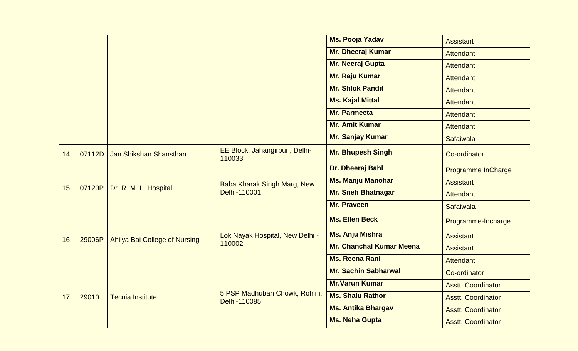|    |        |                               |                                                                                                                                           | <b>Ms. Pooja Yadav</b>          | <b>Assistant</b>          |
|----|--------|-------------------------------|-------------------------------------------------------------------------------------------------------------------------------------------|---------------------------------|---------------------------|
|    |        |                               |                                                                                                                                           | <b>Mr. Dheeraj Kumar</b>        | <b>Attendant</b>          |
|    |        |                               |                                                                                                                                           | Mr. Neeraj Gupta                | <b>Attendant</b>          |
|    |        |                               |                                                                                                                                           | Mr. Raju Kumar                  | <b>Attendant</b>          |
|    |        |                               |                                                                                                                                           | <b>Mr. Shlok Pandit</b>         | Attendant                 |
|    |        |                               |                                                                                                                                           | <b>Ms. Kajal Mittal</b>         | Attendant                 |
|    |        |                               |                                                                                                                                           | <b>Mr. Parmeeta</b>             | Attendant                 |
|    |        |                               |                                                                                                                                           | <b>Mr. Amit Kumar</b>           | <b>Attendant</b>          |
|    |        |                               |                                                                                                                                           | Mr. Sanjay Kumar                | Safaiwala                 |
| 14 | 07112D | Jan Shikshan Shansthan        | EE Block, Jahangirpuri, Delhi-<br>110033                                                                                                  | <b>Mr. Bhupesh Singh</b>        | Co-ordinator              |
|    |        | Dr. R. M. L. Hospital         | Baba Kharak Singh Marg, New<br>Delhi-110001<br>Lok Nayak Hospital, New Delhi -<br>110002<br>5 PSP Madhuban Chowk, Rohini,<br>Delhi-110085 | Dr. Dheeraj Bahl                | <b>Programme InCharge</b> |
|    |        |                               |                                                                                                                                           | <b>Ms. Manju Manohar</b>        | <b>Assistant</b>          |
| 15 | 07120P |                               |                                                                                                                                           | <b>Mr. Sneh Bhatnagar</b>       | <b>Attendant</b>          |
|    |        |                               |                                                                                                                                           | Mr. Praveen                     | Safaiwala                 |
|    |        |                               |                                                                                                                                           | <b>Ms. Ellen Beck</b>           | Programme-Incharge        |
| 16 | 29006P | Ahilya Bai College of Nursing |                                                                                                                                           | <b>Ms. Anju Mishra</b>          | <b>Assistant</b>          |
|    |        |                               |                                                                                                                                           | <b>Mr. Chanchal Kumar Meena</b> | <b>Assistant</b>          |
|    |        |                               |                                                                                                                                           | <b>Ms. Reena Rani</b>           | <b>Attendant</b>          |
|    |        |                               |                                                                                                                                           | <b>Mr. Sachin Sabharwal</b>     | Co-ordinator              |
|    |        |                               |                                                                                                                                           | <b>Mr.Varun Kumar</b>           | <b>Asstt. Coordinator</b> |
| 17 | 29010  | <b>Tecnia Institute</b>       |                                                                                                                                           | <b>Ms. Shalu Rathor</b>         | <b>Asstt. Coordinator</b> |
|    |        |                               |                                                                                                                                           | <b>Ms. Antika Bhargav</b>       | <b>Asstt. Coordinator</b> |
|    |        |                               |                                                                                                                                           | <b>Ms. Neha Gupta</b>           | <b>Asstt. Coordinator</b> |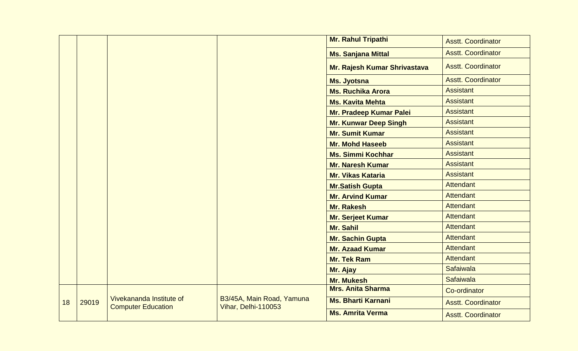|    |       |                                                       |                                                  | Mr. Rahul Tripathi           | <b>Asstt. Coordinator</b> |
|----|-------|-------------------------------------------------------|--------------------------------------------------|------------------------------|---------------------------|
|    |       |                                                       |                                                  | <b>Ms. Sanjana Mittal</b>    | <b>Asstt. Coordinator</b> |
|    |       |                                                       |                                                  | Mr. Rajesh Kumar Shrivastava | <b>Asstt. Coordinator</b> |
|    |       |                                                       | Ms. Jyotsna                                      | <b>Asstt. Coordinator</b>    |                           |
|    |       |                                                       | <b>Ms. Ruchika Arora</b>                         | <b>Assistant</b>             |                           |
|    |       |                                                       |                                                  | <b>Ms. Kavita Mehta</b>      | <b>Assistant</b>          |
|    |       |                                                       |                                                  | Mr. Pradeep Kumar Palei      | <b>Assistant</b>          |
|    |       |                                                       |                                                  | <b>Mr. Kunwar Deep Singh</b> | <b>Assistant</b>          |
|    |       |                                                       |                                                  | <b>Mr. Sumit Kumar</b>       | <b>Assistant</b>          |
|    |       |                                                       |                                                  | <b>Mr. Mohd Haseeb</b>       | <b>Assistant</b>          |
|    |       |                                                       |                                                  | <b>Ms. Simmi Kochhar</b>     | <b>Assistant</b>          |
|    |       |                                                       |                                                  | <b>Mr. Naresh Kumar</b>      | <b>Assistant</b>          |
|    |       |                                                       |                                                  | <b>Mr. Vikas Kataria</b>     | <b>Assistant</b>          |
|    |       |                                                       |                                                  | <b>Mr.Satish Gupta</b>       | <b>Attendant</b>          |
|    |       |                                                       |                                                  | <b>Mr. Arvind Kumar</b>      | Attendant                 |
|    |       |                                                       | <b>Mr. Rakesh</b>                                | <b>Attendant</b>             |                           |
|    |       |                                                       |                                                  | Mr. Serjeet Kumar            | <b>Attendant</b>          |
|    |       |                                                       |                                                  | Mr. Sahil                    | <b>Attendant</b>          |
|    |       |                                                       |                                                  | Mr. Sachin Gupta             | <b>Attendant</b>          |
|    |       |                                                       |                                                  | <b>Mr. Azaad Kumar</b>       | <b>Attendant</b>          |
|    |       |                                                       |                                                  | <b>Mr. Tek Ram</b>           | <b>Attendant</b>          |
|    |       |                                                       |                                                  | Mr. Ajay                     | <b>Safaiwala</b>          |
|    |       |                                                       |                                                  | <b>Mr. Mukesh</b>            | Safaiwala                 |
|    |       |                                                       |                                                  | <b>Mrs. Anita Sharma</b>     | Co-ordinator              |
| 18 | 29019 | Vivekananda Institute of<br><b>Computer Education</b> | B3/45A, Main Road, Yamuna<br>Vihar, Delhi-110053 | <b>Ms. Bharti Karnani</b>    | <b>Asstt. Coordinator</b> |
|    |       |                                                       | <b>Ms. Amrita Verma</b>                          | <b>Asstt. Coordinator</b>    |                           |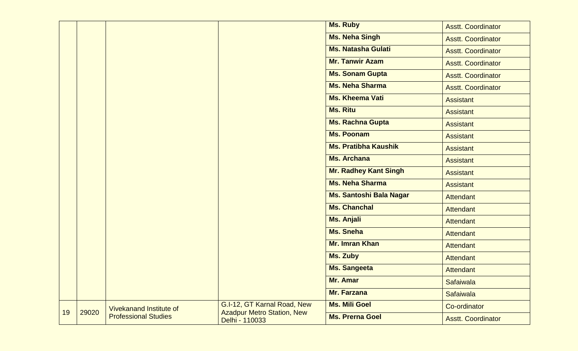|    |       |                                |                                                                  | <b>Ms. Ruby</b>              | <b>Asstt. Coordinator</b> |
|----|-------|--------------------------------|------------------------------------------------------------------|------------------------------|---------------------------|
|    |       |                                |                                                                  | <b>Ms. Neha Singh</b>        | <b>Asstt. Coordinator</b> |
|    |       |                                |                                                                  | <b>Ms. Natasha Gulati</b>    | <b>Asstt. Coordinator</b> |
|    |       | <b>Mr. Tanwir Azam</b>         | <b>Asstt. Coordinator</b>                                        |                              |                           |
|    |       | <b>Ms. Sonam Gupta</b>         | <b>Asstt. Coordinator</b>                                        |                              |                           |
|    |       |                                |                                                                  | <b>Ms. Neha Sharma</b>       | <b>Asstt. Coordinator</b> |
|    |       |                                |                                                                  | <b>Ms. Kheema Vati</b>       | <b>Assistant</b>          |
|    |       |                                |                                                                  | <b>Ms. Ritu</b>              | <b>Assistant</b>          |
|    |       |                                |                                                                  | <b>Ms. Rachna Gupta</b>      | <b>Assistant</b>          |
|    |       |                                |                                                                  | <b>Ms. Poonam</b>            | <b>Assistant</b>          |
|    |       |                                |                                                                  | <b>Ms. Pratibha Kaushik</b>  | <b>Assistant</b>          |
|    |       |                                |                                                                  | <b>Ms. Archana</b>           | <b>Assistant</b>          |
|    |       |                                |                                                                  | <b>Mr. Radhey Kant Singh</b> | <b>Assistant</b>          |
|    |       |                                |                                                                  | <b>Ms. Neha Sharma</b>       | <b>Assistant</b>          |
|    |       |                                |                                                                  | Ms. Santoshi Bala Nagar      | Attendant                 |
|    |       |                                |                                                                  | <b>Ms. Chanchal</b>          | Attendant                 |
|    |       |                                |                                                                  | Ms. Anjali                   | Attendant                 |
|    |       |                                |                                                                  | <b>Ms. Sneha</b>             | Attendant                 |
|    |       |                                |                                                                  | <b>Mr. Imran Khan</b>        | Attendant                 |
|    |       |                                |                                                                  | <b>Ms. Zuby</b>              | Attendant                 |
|    |       |                                |                                                                  | <b>Ms. Sangeeta</b>          | <b>Attendant</b>          |
|    |       |                                |                                                                  | Mr. Amar                     | Safaiwala                 |
|    |       |                                |                                                                  | <b>Mr. Farzana</b>           | Safaiwala                 |
| 19 | 29020 | <b>Vivekanand Institute of</b> | G.I-12, GT Karnal Road, New<br><b>Azadpur Metro Station, New</b> | <b>Ms. Mili Goel</b>         | Co-ordinator              |
|    |       | <b>Professional Studies</b>    | Delhi - 110033                                                   | <b>Ms. Prerna Goel</b>       | <b>Asstt. Coordinator</b> |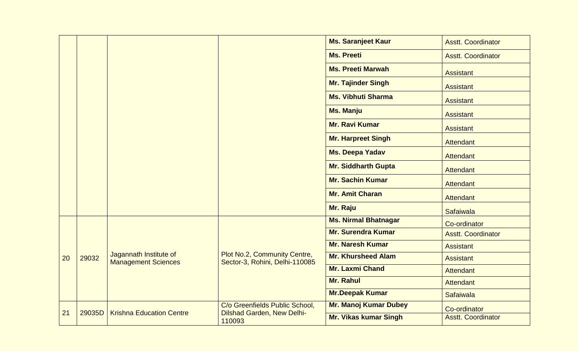|    |        |                                                      |                                                                | <b>Ms. Saranjeet Kaur</b>    | <b>Asstt. Coordinator</b> |
|----|--------|------------------------------------------------------|----------------------------------------------------------------|------------------------------|---------------------------|
|    |        |                                                      |                                                                | <b>Ms. Preeti</b>            | <b>Asstt. Coordinator</b> |
|    |        | <b>Ms. Preeti Marwah</b>                             | <b>Assistant</b>                                               |                              |                           |
|    |        |                                                      | <b>Mr. Tajinder Singh</b>                                      | <b>Assistant</b>             |                           |
|    |        |                                                      |                                                                | <b>Ms. Vibhuti Sharma</b>    | <b>Assistant</b>          |
|    |        |                                                      |                                                                | <b>Ms. Manju</b>             | <b>Assistant</b>          |
|    |        |                                                      |                                                                | <b>Mr. Ravi Kumar</b>        | <b>Assistant</b>          |
|    |        |                                                      |                                                                | <b>Mr. Harpreet Singh</b>    | <b>Attendant</b>          |
|    |        |                                                      |                                                                | Ms. Deepa Yadav              | <b>Attendant</b>          |
|    |        |                                                      |                                                                | <b>Mr. Siddharth Gupta</b>   | <b>Attendant</b>          |
|    |        | <b>Mr. Sachin Kumar</b>                              | Attendant                                                      |                              |                           |
|    |        | <b>Mr. Amit Charan</b>                               | <b>Attendant</b>                                               |                              |                           |
|    |        |                                                      |                                                                | Mr. Raju                     | <b>Safaiwala</b>          |
|    |        |                                                      |                                                                | <b>Ms. Nirmal Bhatnagar</b>  | Co-ordinator              |
|    |        |                                                      |                                                                | <b>Mr. Surendra Kumar</b>    | <b>Asstt. Coordinator</b> |
|    |        |                                                      |                                                                | <b>Mr. Naresh Kumar</b>      | <b>Assistant</b>          |
| 20 | 29032  | Jagannath Institute of<br><b>Management Sciences</b> | Plot No.2, Community Centre,<br>Sector-3, Rohini, Delhi-110085 | <b>Mr. Khursheed Alam</b>    | <b>Assistant</b>          |
|    |        |                                                      |                                                                | <b>Mr. Laxmi Chand</b>       | <b>Attendant</b>          |
|    |        |                                                      |                                                                | Mr. Rahul                    | <b>Attendant</b>          |
|    |        |                                                      |                                                                | <b>Mr.Deepak Kumar</b>       | <b>Safaiwala</b>          |
|    |        |                                                      | C/o Greenfields Public School,                                 | <b>Mr. Manoj Kumar Dubey</b> | Co-ordinator              |
| 21 | 29035D | <b>Krishna Education Centre</b>                      | <b>Dilshad Garden, New Delhi-</b><br>110093                    | <b>Mr. Vikas kumar Singh</b> | <b>Asstt. Coordinator</b> |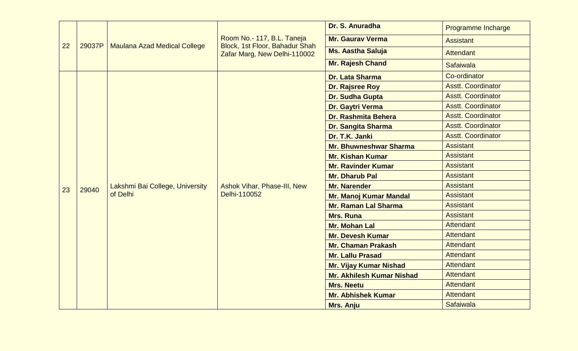|                  |                                                                                                                                                                                                            |                                 |                                                    | Dr. S. Anuradha<br>Programme Incharge                                                                                                                      |                           |
|------------------|------------------------------------------------------------------------------------------------------------------------------------------------------------------------------------------------------------|---------------------------------|----------------------------------------------------|------------------------------------------------------------------------------------------------------------------------------------------------------------|---------------------------|
|                  | Room No.- 117, B.L. Taneja<br><b>Mr. Gaurav Verma</b><br>Block, 1st Floor, Bahadur Shah<br>22<br><b>Maulana Azad Medical College</b><br>29037P<br><b>Ms. Aastha Saluja</b><br>Zafar Marg, New Delhi-110002 | <b>Assistant</b>                |                                                    |                                                                                                                                                            |                           |
|                  |                                                                                                                                                                                                            |                                 | <b>Attendant</b>                                   |                                                                                                                                                            |                           |
|                  |                                                                                                                                                                                                            |                                 |                                                    | Mr. Rajesh Chand                                                                                                                                           | <b>Safaiwala</b>          |
|                  |                                                                                                                                                                                                            |                                 |                                                    | <b>Dr. Lata Sharma</b>                                                                                                                                     | Co-ordinator              |
|                  |                                                                                                                                                                                                            |                                 |                                                    | <b>Dr. Rajsree Roy</b>                                                                                                                                     | <b>Asstt. Coordinator</b> |
|                  |                                                                                                                                                                                                            |                                 |                                                    | Dr. Sudha Gupta                                                                                                                                            | <b>Asstt. Coordinator</b> |
|                  |                                                                                                                                                                                                            |                                 |                                                    | Dr. Gaytri Verma                                                                                                                                           | <b>Asstt. Coordinator</b> |
|                  |                                                                                                                                                                                                            |                                 |                                                    | <b>Dr. Rashmita Behera</b>                                                                                                                                 | <b>Asstt. Coordinator</b> |
|                  |                                                                                                                                                                                                            |                                 |                                                    | <b>Asstt. Coordinator</b><br><b>Dr. Sangita Sharma</b><br><b>Asstt. Coordinator</b><br>Dr. T.K. Janki<br><b>Assistant</b><br><b>Mr. Bhuwneshwar Sharma</b> |                           |
|                  |                                                                                                                                                                                                            |                                 |                                                    |                                                                                                                                                            |                           |
|                  |                                                                                                                                                                                                            |                                 |                                                    |                                                                                                                                                            |                           |
|                  | 29040<br>of Delhi                                                                                                                                                                                          |                                 | <b>Ashok Vihar, Phase-III, New</b><br>Delhi-110052 | <b>Mr. Kishan Kumar</b>                                                                                                                                    | <b>Assistant</b>          |
|                  |                                                                                                                                                                                                            |                                 |                                                    | <b>Mr. Ravinder Kumar</b>                                                                                                                                  | <b>Assistant</b>          |
|                  |                                                                                                                                                                                                            |                                 |                                                    | <b>Mr. Dharub Pal</b>                                                                                                                                      | <b>Assistant</b>          |
| 23               |                                                                                                                                                                                                            | Lakshmi Bai College, University |                                                    | <b>Mr. Narender</b>                                                                                                                                        | <b>Assistant</b>          |
|                  |                                                                                                                                                                                                            |                                 |                                                    | Mr. Manoj Kumar Mandal                                                                                                                                     | <b>Assistant</b>          |
|                  |                                                                                                                                                                                                            |                                 |                                                    | <b>Mr. Raman Lal Sharma</b>                                                                                                                                | <b>Assistant</b>          |
| <b>Mrs. Runa</b> |                                                                                                                                                                                                            | <b>Assistant</b>                |                                                    |                                                                                                                                                            |                           |
|                  |                                                                                                                                                                                                            |                                 |                                                    | <b>Mr. Mohan Lal</b>                                                                                                                                       | <b>Attendant</b>          |
|                  |                                                                                                                                                                                                            |                                 |                                                    | <b>Mr. Devesh Kumar</b>                                                                                                                                    | <b>Attendant</b>          |
|                  |                                                                                                                                                                                                            |                                 |                                                    | <b>Mr. Chaman Prakash</b>                                                                                                                                  | <b>Attendant</b>          |
|                  |                                                                                                                                                                                                            |                                 |                                                    | <b>Mr. Lallu Prasad</b>                                                                                                                                    | <b>Attendant</b>          |
|                  |                                                                                                                                                                                                            |                                 |                                                    | <b>Mr. Vijay Kumar Nishad</b>                                                                                                                              | <b>Attendant</b>          |
|                  |                                                                                                                                                                                                            |                                 |                                                    | <b>Mr. Akhilesh Kumar Nishad</b>                                                                                                                           | <b>Attendant</b>          |
|                  |                                                                                                                                                                                                            |                                 |                                                    | <b>Mrs. Neetu</b>                                                                                                                                          | <b>Attendant</b>          |
|                  |                                                                                                                                                                                                            |                                 |                                                    | <b>Mr. Abhishek Kumar</b>                                                                                                                                  | <b>Attendant</b>          |
|                  |                                                                                                                                                                                                            |                                 |                                                    | Mrs. Anju                                                                                                                                                  | Safaiwala                 |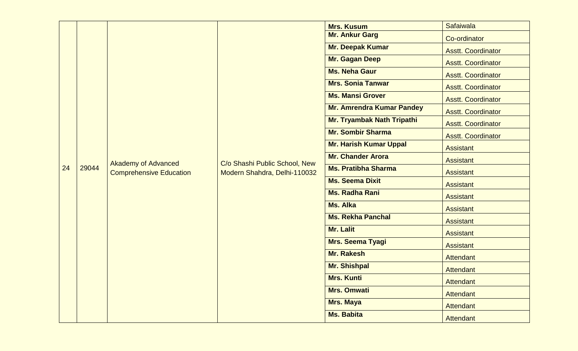|           |       |                                                              |                               | <b>Mrs. Kusum</b>                 | Safaiwala                 |
|-----------|-------|--------------------------------------------------------------|-------------------------------|-----------------------------------|---------------------------|
|           |       |                                                              |                               | <b>Mr. Ankur Garg</b>             | Co-ordinator              |
|           |       |                                                              |                               | Mr. Deepak Kumar                  | <b>Asstt. Coordinator</b> |
|           |       |                                                              |                               | Mr. Gagan Deep                    | <b>Asstt. Coordinator</b> |
|           |       |                                                              |                               | <b>Ms. Neha Gaur</b>              | <b>Asstt. Coordinator</b> |
|           |       |                                                              |                               | <b>Mrs. Sonia Tanwar</b>          | <b>Asstt. Coordinator</b> |
|           |       |                                                              |                               | <b>Ms. Mansi Grover</b>           | <b>Asstt. Coordinator</b> |
|           |       |                                                              |                               | <b>Mr. Amrendra Kumar Pandey</b>  | <b>Asstt. Coordinator</b> |
|           |       |                                                              |                               | <b>Mr. Tryambak Nath Tripathi</b> | <b>Asstt. Coordinator</b> |
|           | 29044 | <b>Akademy of Advanced</b><br><b>Comprehensive Education</b> |                               | <b>Mr. Sombir Sharma</b>          | <b>Asstt. Coordinator</b> |
|           |       |                                                              |                               | <b>Mr. Harish Kumar Uppal</b>     | <b>Assistant</b>          |
|           |       |                                                              | C/o Shashi Public School, New | <b>Mr. Chander Arora</b>          | <b>Assistant</b>          |
| 24        |       |                                                              | Modern Shahdra, Delhi-110032  | <b>Ms. Pratibha Sharma</b>        | <b>Assistant</b>          |
|           |       |                                                              |                               | <b>Ms. Seema Dixit</b>            | <b>Assistant</b>          |
|           |       |                                                              |                               | <b>Ms. Radha Rani</b>             | <b>Assistant</b>          |
|           |       |                                                              |                               | <b>Ms. Alka</b>                   | <b>Assistant</b>          |
|           |       |                                                              |                               | <b>Ms. Rekha Panchal</b>          | <b>Assistant</b>          |
| Mr. Lalit |       | <b>Assistant</b>                                             |                               |                                   |                           |
|           |       |                                                              |                               | Mrs. Seema Tyagi                  | <b>Assistant</b>          |
|           |       |                                                              |                               | <b>Mr. Rakesh</b>                 | <b>Attendant</b>          |
|           |       |                                                              |                               | <b>Mr. Shishpal</b>               | Attendant                 |
|           |       |                                                              |                               | <b>Mrs. Kunti</b>                 | Attendant                 |
|           |       |                                                              |                               | <b>Mrs. Omwati</b>                | Attendant                 |
|           |       |                                                              |                               | <b>Mrs. Maya</b>                  | Attendant                 |
|           |       |                                                              |                               | <b>Ms. Babita</b>                 | Attendant                 |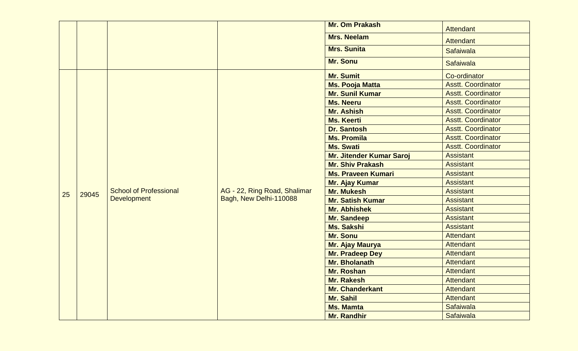|    |                                                                                                                                                                                                                                                                                                      |                                 | <b>Mr. Om Prakash</b>  | <b>Attendant</b>                                       |
|----|------------------------------------------------------------------------------------------------------------------------------------------------------------------------------------------------------------------------------------------------------------------------------------------------------|---------------------------------|------------------------|--------------------------------------------------------|
|    |                                                                                                                                                                                                                                                                                                      |                                 | <b>Mrs. Neelam</b>     | <b>Attendant</b>                                       |
|    |                                                                                                                                                                                                                                                                                                      |                                 | <b>Mrs. Sunita</b>     | Safaiwala                                              |
|    |                                                                                                                                                                                                                                                                                                      |                                 | Mr. Sonu               | <b>Safaiwala</b>                                       |
|    |                                                                                                                                                                                                                                                                                                      |                                 | <b>Mr. Sumit</b>       | Co-ordinator                                           |
|    |                                                                                                                                                                                                                                                                                                      |                                 | <b>Ms. Pooja Matta</b> | <b>Asstt. Coordinator</b>                              |
|    |                                                                                                                                                                                                                                                                                                      |                                 | <b>Mr. Sunil Kumar</b> | <b>Asstt. Coordinator</b>                              |
|    |                                                                                                                                                                                                                                                                                                      |                                 | <b>Ms. Neeru</b>       | <b>Asstt. Coordinator</b>                              |
|    |                                                                                                                                                                                                                                                                                                      |                                 | <b>Mr. Ashish</b>      | <b>Asstt. Coordinator</b>                              |
|    |                                                                                                                                                                                                                                                                                                      |                                 | <b>Ms. Keerti</b>      | <b>Asstt. Coordinator</b>                              |
|    |                                                                                                                                                                                                                                                                                                      |                                 | <b>Dr. Santosh</b>     | <b>Asstt. Coordinator</b><br><b>Asstt. Coordinator</b> |
|    |                                                                                                                                                                                                                                                                                                      |                                 | <b>Ms. Promila</b>     |                                                        |
|    |                                                                                                                                                                                                                                                                                                      |                                 | <b>Ms. Swati</b>       | <b>Asstt. Coordinator</b>                              |
|    | <b>Mr. Shiv Prakash</b><br><b>Ms. Praveen Kumari</b><br><b>Mr. Ajay Kumar</b><br><b>School of Professional</b><br>AG - 22, Ring Road, Shalimar<br><b>Mr. Mukesh</b><br>29045<br>Bagh, New Delhi-110088<br><b>Development</b><br><b>Mr. Satish Kumar</b><br><b>Mr. Abhishek</b><br><b>Mr. Sandeep</b> | <b>Mr. Jitender Kumar Saroj</b> | <b>Assistant</b>       |                                                        |
|    |                                                                                                                                                                                                                                                                                                      |                                 |                        | <b>Assistant</b>                                       |
|    |                                                                                                                                                                                                                                                                                                      |                                 |                        | <b>Assistant</b>                                       |
|    |                                                                                                                                                                                                                                                                                                      |                                 |                        | <b>Assistant</b>                                       |
| 25 |                                                                                                                                                                                                                                                                                                      |                                 |                        | <b>Assistant</b>                                       |
|    |                                                                                                                                                                                                                                                                                                      |                                 |                        | <b>Assistant</b>                                       |
|    |                                                                                                                                                                                                                                                                                                      |                                 |                        | <b>Assistant</b>                                       |
|    |                                                                                                                                                                                                                                                                                                      |                                 |                        | <b>Assistant</b>                                       |
|    |                                                                                                                                                                                                                                                                                                      |                                 | <b>Ms. Sakshi</b>      | <b>Assistant</b>                                       |
|    |                                                                                                                                                                                                                                                                                                      |                                 | <b>Mr. Sonu</b>        | <b>Attendant</b>                                       |
|    |                                                                                                                                                                                                                                                                                                      |                                 | Mr. Ajay Maurya        | <b>Attendant</b>                                       |
|    |                                                                                                                                                                                                                                                                                                      |                                 | Mr. Pradeep Dey        | <b>Attendant</b>                                       |
|    |                                                                                                                                                                                                                                                                                                      |                                 | Mr. Bholanath          | <b>Attendant</b>                                       |
|    |                                                                                                                                                                                                                                                                                                      |                                 | <b>Mr. Roshan</b>      | <b>Attendant</b>                                       |
|    |                                                                                                                                                                                                                                                                                                      |                                 | Mr. Rakesh             | <b>Attendant</b>                                       |
|    |                                                                                                                                                                                                                                                                                                      |                                 | <b>Mr. Chanderkant</b> | <b>Attendant</b>                                       |
|    |                                                                                                                                                                                                                                                                                                      |                                 | Mr. Sahil              | <b>Attendant</b>                                       |
|    |                                                                                                                                                                                                                                                                                                      |                                 | <b>Ms. Mamta</b>       | Safaiwala                                              |
|    |                                                                                                                                                                                                                                                                                                      |                                 | <b>Mr. Randhir</b>     | <b>Safaiwala</b>                                       |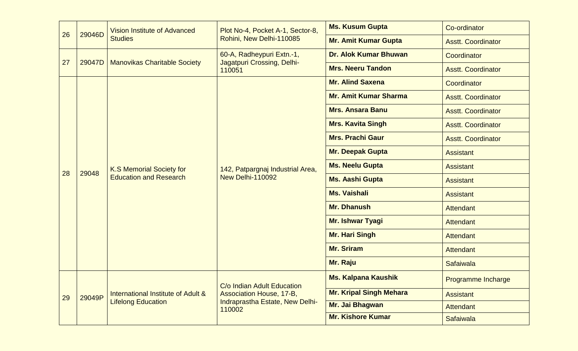| 26 |    |        | <b>Ms. Kusum Gupta</b><br>Plot No-4, Pocket A-1, Sector-8,<br><b>Vision Institute of Advanced</b><br>29046D<br><b>Studies</b><br>Rohini, New Delhi-110085<br><b>Mr. Amit Kumar Gupta</b> |                                                                                                     | Co-ordinator                   |                           |
|----|----|--------|------------------------------------------------------------------------------------------------------------------------------------------------------------------------------------------|-----------------------------------------------------------------------------------------------------|--------------------------------|---------------------------|
|    |    |        |                                                                                                                                                                                          |                                                                                                     |                                | <b>Asstt. Coordinator</b> |
|    |    |        |                                                                                                                                                                                          | 60-A, Radheypuri Extn.-1,<br>Jagatpuri Crossing, Delhi-<br>110051                                   | <b>Dr. Alok Kumar Bhuwan</b>   | Coordinator               |
|    | 27 | 29047D | <b>Manovikas Charitable Society</b>                                                                                                                                                      |                                                                                                     | <b>Mrs. Neeru Tandon</b>       | <b>Asstt. Coordinator</b> |
|    |    |        |                                                                                                                                                                                          |                                                                                                     | <b>Mr. Alind Saxena</b>        | Coordinator               |
|    |    |        |                                                                                                                                                                                          |                                                                                                     | <b>Mr. Amit Kumar Sharma</b>   | <b>Asstt. Coordinator</b> |
|    |    |        |                                                                                                                                                                                          | 142, Patpargnaj Industrial Area,<br><b>New Delhi-110092</b>                                         | <b>Mrs. Ansara Banu</b>        | <b>Asstt. Coordinator</b> |
|    |    |        |                                                                                                                                                                                          |                                                                                                     | <b>Mrs. Kavita Singh</b>       | <b>Asstt. Coordinator</b> |
|    |    | 29048  | <b>K.S Memorial Society for</b><br><b>Education and Research</b>                                                                                                                         |                                                                                                     | <b>Mrs. Prachi Gaur</b>        | <b>Asstt. Coordinator</b> |
|    |    |        |                                                                                                                                                                                          |                                                                                                     | Mr. Deepak Gupta               | <b>Assistant</b>          |
|    |    |        |                                                                                                                                                                                          |                                                                                                     | <b>Ms. Neelu Gupta</b>         | <b>Assistant</b>          |
|    | 28 |        |                                                                                                                                                                                          |                                                                                                     | <b>Ms. Aashi Gupta</b>         | <b>Assistant</b>          |
|    |    |        |                                                                                                                                                                                          |                                                                                                     | <b>Ms. Vaishali</b>            | <b>Assistant</b>          |
|    |    |        |                                                                                                                                                                                          |                                                                                                     | <b>Mr. Dhanush</b>             | <b>Attendant</b>          |
|    |    |        |                                                                                                                                                                                          |                                                                                                     | <b>Mr. Ishwar Tyagi</b>        | <b>Attendant</b>          |
|    |    |        |                                                                                                                                                                                          |                                                                                                     | <b>Mr. Hari Singh</b>          | <b>Attendant</b>          |
|    |    |        |                                                                                                                                                                                          |                                                                                                     | <b>Mr. Sriram</b>              | <b>Attendant</b>          |
|    |    |        |                                                                                                                                                                                          |                                                                                                     | Mr. Raju                       | <b>Safaiwala</b>          |
|    |    |        | International Institute of Adult &<br><b>Lifelong Education</b>                                                                                                                          | C/o Indian Adult Education<br>Association House, 17-B,<br>Indraprastha Estate, New Delhi-<br>110002 | <b>Ms. Kalpana Kaushik</b>     | Programme Incharge        |
|    | 29 | 29049P |                                                                                                                                                                                          |                                                                                                     | <b>Mr. Kripal Singh Mehara</b> | <b>Assistant</b>          |
|    |    |        |                                                                                                                                                                                          |                                                                                                     | Mr. Jai Bhagwan                | <b>Attendant</b>          |
|    |    |        |                                                                                                                                                                                          |                                                                                                     | <b>Mr. Kishore Kumar</b>       | <b>Safaiwala</b>          |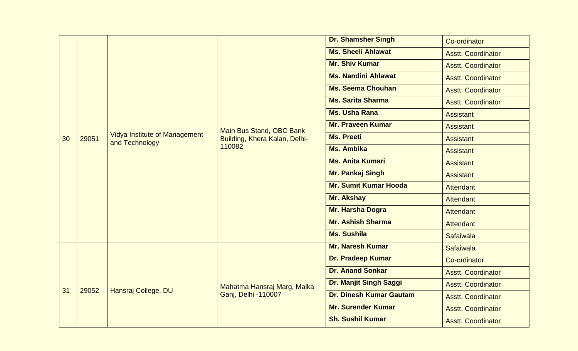|    |       |                                                        |                                         | <b>Dr. Shamsher Singh</b>      | Co-ordinator              |
|----|-------|--------------------------------------------------------|-----------------------------------------|--------------------------------|---------------------------|
|    |       |                                                        |                                         | <b>Ms. Sheeli Ahlawat</b>      | <b>Asstt. Coordinator</b> |
|    |       |                                                        |                                         | <b>Mr. Shiv Kumar</b>          | <b>Asstt. Coordinator</b> |
|    |       |                                                        |                                         | <b>Ms. Nandini Ahlawat</b>     | <b>Asstt. Coordinator</b> |
|    |       |                                                        |                                         | <b>Ms. Seema Chouhan</b>       | <b>Asstt. Coordinator</b> |
|    |       |                                                        |                                         | <b>Ms. Sarita Sharma</b>       | <b>Asstt. Coordinator</b> |
|    |       |                                                        |                                         | <b>Ms. Usha Rana</b>           | <b>Assistant</b>          |
|    |       |                                                        | Main Bus Stand, OBC Bank                | <b>Mr. Praveen Kumar</b>       | <b>Assistant</b>          |
| 30 | 29051 | <b>Vidya Institute of Management</b><br>and Technology | Building, Khera Kalan, Delhi-<br>110082 | <b>Ms. Preeti</b>              | <b>Assistant</b>          |
|    |       |                                                        |                                         | <b>Ms. Ambika</b>              | <b>Assistant</b>          |
|    |       |                                                        |                                         | <b>Ms. Anita Kumari</b>        | <b>Assistant</b>          |
|    |       |                                                        |                                         | Mr. Pankaj Singh               | <b>Assistant</b>          |
|    |       |                                                        |                                         | <b>Mr. Sumit Kumar Hooda</b>   | <b>Attendant</b>          |
|    |       |                                                        |                                         | <b>Mr. Akshay</b>              | <b>Attendant</b>          |
|    |       |                                                        |                                         | Mr. Harsha Dogra               | <b>Attendant</b>          |
|    |       |                                                        |                                         | <b>Mr. Ashish Sharma</b>       | <b>Attendant</b>          |
|    |       |                                                        |                                         | <b>Ms. Sushila</b>             | <b>Safaiwala</b>          |
|    |       |                                                        |                                         | <b>Mr. Naresh Kumar</b>        | <b>Safaiwala</b>          |
|    |       |                                                        |                                         | <b>Dr. Pradeep Kumar</b>       | Co-ordinator              |
|    |       |                                                        |                                         | <b>Dr. Anand Sonkar</b>        | <b>Asstt. Coordinator</b> |
| 31 |       |                                                        | Mahatma Hansraj Marg, Malka             | Dr. Manjit Singh Saggi         | <b>Asstt. Coordinator</b> |
|    | 29052 | Hansraj College, DU                                    | Ganj, Delhi -110007                     | <b>Dr. Dinesh Kumar Gautam</b> | <b>Asstt. Coordinator</b> |
|    |       |                                                        |                                         | <b>Mr. Surender Kumar</b>      | <b>Asstt. Coordinator</b> |
|    |       |                                                        |                                         | <b>Sh. Sushil Kumar</b>        | <b>Asstt. Coordinator</b> |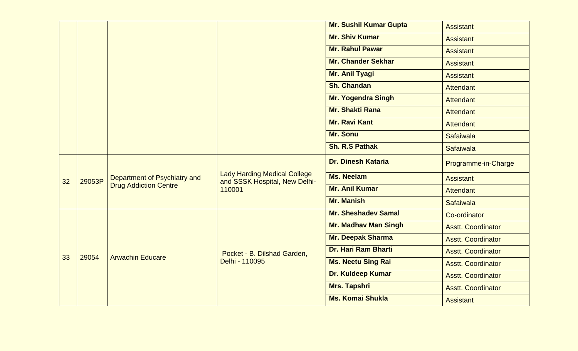|        |                                                              |                                                                                | <b>Mr. Sushil Kumar Gupta</b> | <b>Assistant</b>          |
|--------|--------------------------------------------------------------|--------------------------------------------------------------------------------|-------------------------------|---------------------------|
|        |                                                              |                                                                                | <b>Mr. Shiv Kumar</b>         | <b>Assistant</b>          |
|        |                                                              |                                                                                | <b>Mr. Rahul Pawar</b>        | <b>Assistant</b>          |
|        |                                                              |                                                                                | <b>Mr. Chander Sekhar</b>     | Assistant                 |
|        |                                                              |                                                                                | Mr. Anil Tyagi                | <b>Assistant</b>          |
|        |                                                              |                                                                                | <b>Sh. Chandan</b>            | <b>Attendant</b>          |
|        |                                                              |                                                                                | <b>Mr. Yogendra Singh</b>     | <b>Attendant</b>          |
|        |                                                              |                                                                                | <b>Mr. Shakti Rana</b>        | Attendant                 |
|        |                                                              |                                                                                | <b>Mr. Ravi Kant</b>          | Attendant                 |
|        |                                                              |                                                                                | <b>Mr. Sonu</b>               | <b>Safaiwala</b>          |
|        |                                                              |                                                                                | <b>Sh. R.S Pathak</b>         | <b>Safaiwala</b>          |
| 29053P | Department of Psychiatry and<br><b>Drug Addiction Centre</b> | <b>Lady Harding Medical College</b><br>and SSSK Hospital, New Delhi-<br>110001 | <b>Dr. Dinesh Kataria</b>     | Programme-in-Charge       |
|        |                                                              |                                                                                | <b>Ms. Neelam</b>             | <b>Assistant</b>          |
|        |                                                              |                                                                                | <b>Mr. Anil Kumar</b>         | <b>Attendant</b>          |
|        |                                                              |                                                                                | <b>Mr. Manish</b>             | <b>Safaiwala</b>          |
|        | <b>Arwachin Educare</b>                                      | Pocket - B. Dilshad Garden,<br>Delhi - 110095                                  | <b>Mr. Sheshadev Samal</b>    | Co-ordinator              |
|        |                                                              |                                                                                | <b>Mr. Madhav Man Singh</b>   | <b>Asstt. Coordinator</b> |
|        |                                                              |                                                                                | <b>Mr. Deepak Sharma</b>      | <b>Asstt. Coordinator</b> |
|        |                                                              |                                                                                | Dr. Hari Ram Bharti           | <b>Asstt. Coordinator</b> |
|        |                                                              |                                                                                | <b>Ms. Neetu Sing Rai</b>     | <b>Asstt. Coordinator</b> |
|        |                                                              |                                                                                | <b>Dr. Kuldeep Kumar</b>      | <b>Asstt. Coordinator</b> |
|        |                                                              |                                                                                | Mrs. Tapshri                  | <b>Asstt. Coordinator</b> |
|        |                                                              |                                                                                | <b>Ms. Komai Shukla</b>       | <b>Assistant</b>          |
|        | 29054                                                        |                                                                                |                               |                           |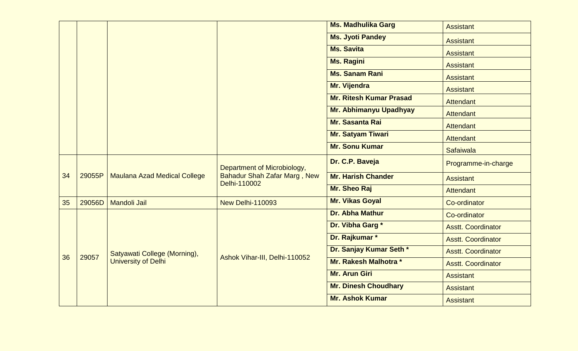|    |        |                                                                     |                                                                                    | <b>Ms. Madhulika Garg</b>      | <b>Assistant</b>          |
|----|--------|---------------------------------------------------------------------|------------------------------------------------------------------------------------|--------------------------------|---------------------------|
|    |        |                                                                     |                                                                                    | <b>Ms. Jyoti Pandey</b>        | <b>Assistant</b>          |
|    |        |                                                                     |                                                                                    | <b>Ms. Savita</b>              | <b>Assistant</b>          |
|    |        |                                                                     |                                                                                    | <b>Ms. Ragini</b>              | <b>Assistant</b>          |
|    |        |                                                                     |                                                                                    | <b>Ms. Sanam Rani</b>          | <b>Assistant</b>          |
|    |        |                                                                     |                                                                                    | Mr. Vijendra                   | <b>Assistant</b>          |
|    |        |                                                                     |                                                                                    | <b>Mr. Ritesh Kumar Prasad</b> | <b>Attendant</b>          |
|    |        |                                                                     |                                                                                    | Mr. Abhimanyu Upadhyay         | <b>Attendant</b>          |
|    |        |                                                                     |                                                                                    | Mr. Sasanta Rai                | <b>Attendant</b>          |
|    |        |                                                                     |                                                                                    | Mr. Satyam Tiwari              | <b>Attendant</b>          |
|    |        |                                                                     |                                                                                    | <b>Mr. Sonu Kumar</b>          | <b>Safaiwala</b>          |
|    | 29055P | <b>Maulana Azad Medical College</b>                                 | Department of Microbiology,<br><b>Bahadur Shah Zafar Marg, New</b><br>Delhi-110002 | Dr. C.P. Baveja                | Programme-in-charge       |
| 34 |        |                                                                     |                                                                                    | <b>Mr. Harish Chander</b>      | <b>Assistant</b>          |
|    |        |                                                                     |                                                                                    | Mr. Sheo Raj                   | <b>Attendant</b>          |
| 35 | 29056D | <b>Mandoli Jail</b>                                                 | <b>New Delhi-110093</b>                                                            | <b>Mr. Vikas Goyal</b>         | Co-ordinator              |
|    |        |                                                                     |                                                                                    | Dr. Abha Mathur                | Co-ordinator              |
|    |        |                                                                     |                                                                                    | Dr. Vibha Garg*                | <b>Asstt. Coordinator</b> |
|    |        |                                                                     |                                                                                    | Dr. Rajkumar *                 | <b>Asstt. Coordinator</b> |
| 36 |        | Satyawati College (Morning),<br>29057<br><b>University of Delhi</b> |                                                                                    | Dr. Sanjay Kumar Seth *        | <b>Asstt. Coordinator</b> |
|    |        |                                                                     | Ashok Vihar-III, Delhi-110052                                                      | Mr. Rakesh Malhotra *          | <b>Asstt. Coordinator</b> |
|    |        |                                                                     |                                                                                    | <b>Mr. Arun Giri</b>           | <b>Assistant</b>          |
|    |        |                                                                     |                                                                                    | <b>Mr. Dinesh Choudhary</b>    | <b>Assistant</b>          |
|    |        |                                                                     |                                                                                    | <b>Mr. Ashok Kumar</b>         | <b>Assistant</b>          |